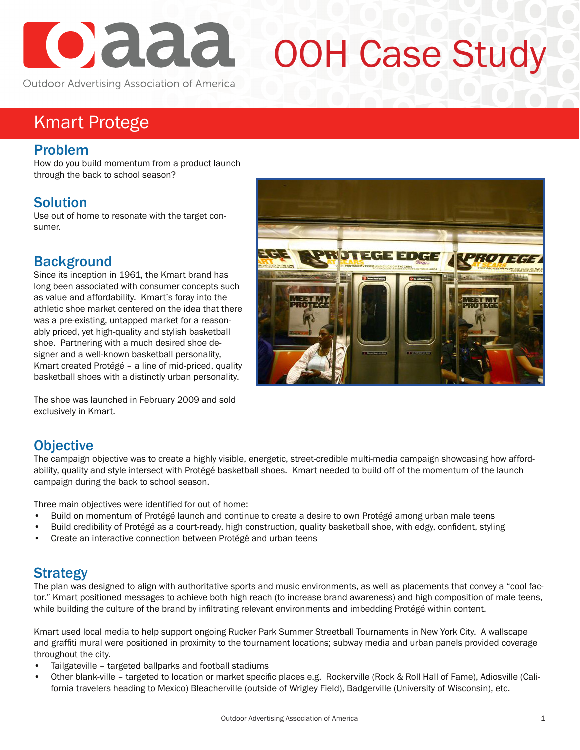

# OOH Case Study

Kmart Protege

#### Problem

How do you build momentum from a product launch through the back to school season?

## **Solution**

Use out of home to resonate with the target consumer.

## **Background**

Since its inception in 1961, the Kmart brand has long been associated with consumer concepts such as value and affordability. Kmart's foray into the athletic shoe market centered on the idea that there was a pre-existing, untapped market for a reasonably priced, yet high-quality and stylish basketball shoe. Partnering with a much desired shoe designer and a well-known basketball personality, Kmart created Protégé – a line of mid-priced, quality basketball shoes with a distinctly urban personality.

The shoe was launched in February 2009 and sold exclusively in Kmart.

## **Objective**

The campaign objective was to create a highly visible, energetic, street-credible multi-media campaign showcasing how affordability, quality and style intersect with Protégé basketball shoes. Kmart needed to build off of the momentum of the launch campaign during the back to school season.

Three main objectives were identified for out of home:

- Build on momentum of Protégé launch and continue to create a desire to own Protégé among urban male teens
- Build credibility of Protégé as a court-ready, high construction, quality basketball shoe, with edgy, confident, styling
- Create an interactive connection between Protégé and urban teens

### Strategy

The plan was designed to align with authoritative sports and music environments, as well as placements that convey a "cool factor." Kmart positioned messages to achieve both high reach (to increase brand awareness) and high composition of male teens, while building the culture of the brand by infiltrating relevant environments and imbedding Protégé within content.

Kmart used local media to help support ongoing Rucker Park Summer Streetball Tournaments in New York City. A wallscape and graffiti mural were positioned in proximity to the tournament locations; subway media and urban panels provided coverage throughout the city.

- Tailgateville targeted ballparks and football stadiums
- Other blank-ville targeted to location or market specific places e.g. Rockerville (Rock & Roll Hall of Fame), Adiosville (California travelers heading to Mexico) Bleacherville (outside of Wrigley Field), Badgerville (University of Wisconsin), etc.